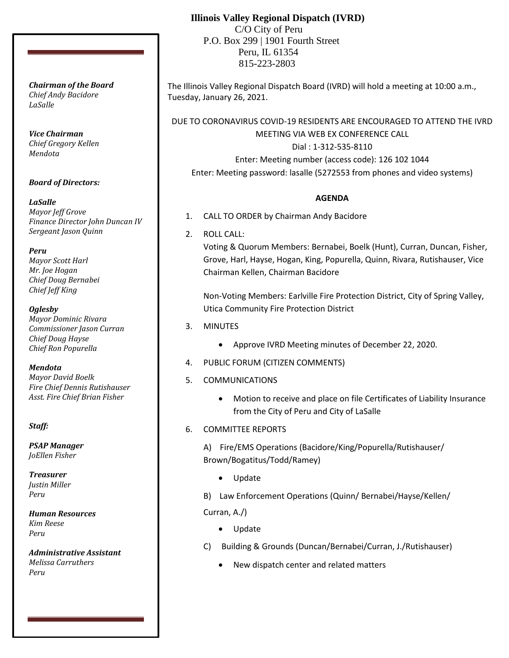## **Illinois Valley Regional Dispatch (IVRD)**

 C/O City of Peru P.O. Box 299 | 1901 Fourth Street Peru, IL 61354 815-223-2803

The Illinois Valley Regional Dispatch Board (IVRD) will hold a meeting at 10:00 a.m., Tuesday, January 26, 2021.

DUE TO CORONAVIRUS COVID-19 RESIDENTS ARE ENCOURAGED TO ATTEND THE IVRD MEETING VIA WEB EX CONFERENCE CALL

> Dial : 1-312-535-8110 Enter: Meeting number (access code): 126 102 1044

Enter: Meeting password: lasalle (5272553 from phones and video systems)

## **AGENDA**

- 1. CALL TO ORDER by Chairman Andy Bacidore
- 2. ROLL CALL:

Voting & Quorum Members: Bernabei, Boelk (Hunt), Curran, Duncan, Fisher, Grove, Harl, Hayse, Hogan, King, Popurella, Quinn, Rivara, Rutishauser, Vice Chairman Kellen, Chairman Bacidore

Non-Voting Members: Earlville Fire Protection District, City of Spring Valley, Utica Community Fire Protection District

- 3. MINUTES
	- Approve IVRD Meeting minutes of December 22, 2020.
- 4. PUBLIC FORUM (CITIZEN COMMENTS)
- 5. COMMUNICATIONS
	- Motion to receive and place on file Certificates of Liability Insurance from the City of Peru and City of LaSalle
- 6. COMMITTEE REPORTS

A) Fire/EMS Operations (Bacidore/King/Popurella/Rutishauser/ Brown/Bogatitus/Todd/Ramey)

- Update
- B) Law Enforcement Operations (Quinn/ Bernabei/Hayse/Kellen/

Curran, A./)

- Update
- C) Building & Grounds (Duncan/Bernabei/Curran, J./Rutishauser)
	- New dispatch center and related matters

*Chairman of the Board Chief Andy Bacidore LaSalle*

*Vice Chairman Chief Gregory Kellen Mendota*

*Board of Directors:*

*LaSalle Mayor Jeff Grove Finance Director John Duncan IV Sergeant Jason Quinn*

*Peru Mayor Scott Harl Mr. Joe Hogan Chief Doug Bernabei Chief Jeff King*

*Oglesby Mayor Dominic Rivara Commissioner Jason Curran Chief Doug Hayse Chief Ron Popurella*

*Mendota Mayor David Boelk Fire Chief Dennis Rutishauser Asst. Fire Chief Brian Fisher*

*Staff:*

*PSAP Manager JoEllen Fisher*

*Treasurer Justin Miller Peru*

*Human Resources Kim Reese Peru*

*Administrative Assistant Melissa Carruthers Peru*